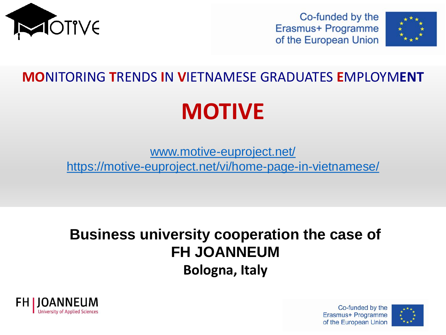

Co-funded by the Erasmus+ Programme of the European Union



# **MO**NITORING **T**RENDS **I**N **V**IETNAMESE GRADUATES **E**MPLOYM**ENT**

# **MOTIVE**

[www.motive-euproject.net/](http://www.motive-euproject.net/) <https://motive-euproject.net/vi/home-page-in-vietnamese/>

# **Business university cooperation the case of FH JOANNEUM Bologna, Italy**





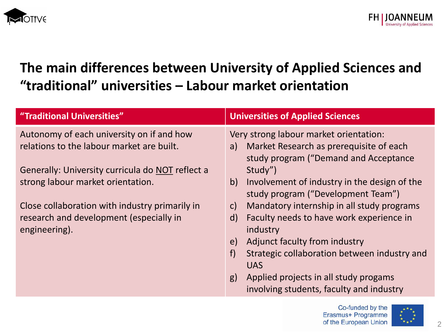

# **The main differences between University of Applied Sciences and "traditional" universities – Labour market orientation**

| "Traditional Universities"                               | <b>Universities of Applied Sciences</b>                                                  |
|----------------------------------------------------------|------------------------------------------------------------------------------------------|
| Autonomy of each university on if and how                | Very strong labour market orientation:                                                   |
| relations to the labour market are built.                | Market Research as prerequisite of each<br>a)<br>study program ("Demand and Acceptance   |
| Generally: University curricula do NOT reflect a         | Study")                                                                                  |
| strong labour market orientation.                        | Involvement of industry in the design of the<br>b)<br>study program ("Development Team") |
| Close collaboration with industry primarily in           | Mandatory internship in all study programs<br>$\mathsf{C}$                               |
| research and development (especially in<br>engineering). | Faculty needs to have work experience in<br>$\mathsf{d}$<br>industry                     |
|                                                          | Adjunct faculty from industry<br>e)                                                      |
|                                                          | Strategic collaboration between industry and<br>f                                        |
|                                                          | <b>UAS</b>                                                                               |
|                                                          | Applied projects in all study progams<br>g)                                              |
|                                                          | involving students, faculty and industry                                                 |

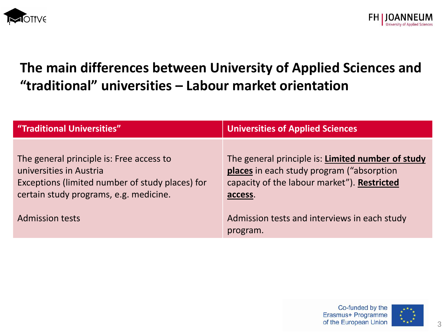

# **The main differences between University of Applied Sciences and "traditional" universities – Labour market orientation**

| "Traditional Universities"                                                                                                                                       | <b>Universities of Applied Sciences</b>                                                                                                                   |
|------------------------------------------------------------------------------------------------------------------------------------------------------------------|-----------------------------------------------------------------------------------------------------------------------------------------------------------|
| The general principle is: Free access to<br>universities in Austria<br>Exceptions (limited number of study places) for<br>certain study programs, e.g. medicine. | The general principle is: Limited number of study<br>places in each study program ("absorption"<br>capacity of the labour market"). Restricted<br>access. |
| <b>Admission tests</b>                                                                                                                                           | Admission tests and interviews in each study<br>program.                                                                                                  |

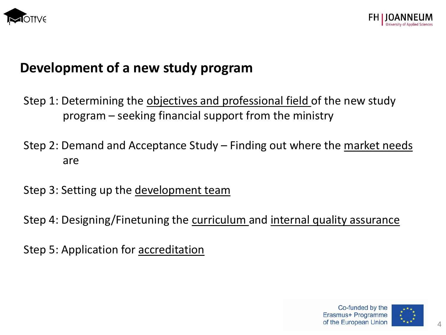



#### **Development of a new study program**

- Step 1: Determining the objectives and professional field of the new study program – seeking financial support from the ministry
- Step 2: Demand and Acceptance Study Finding out where the market needs are
- Step 3: Setting up the <u>development team</u>
- Step 4: Designing/Finetuning the curriculum and internal quality assurance
- Step 5: Application for accreditation

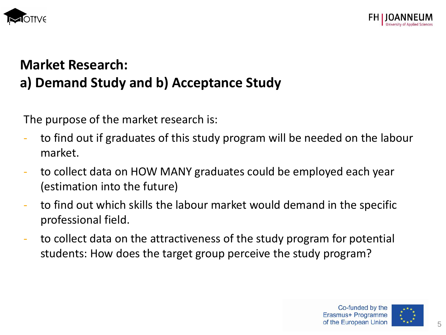



# **Market Research: a) Demand Study and b) Acceptance Study**

The purpose of the market research is:

- to find out if graduates of this study program will be needed on the labour market.
- to collect data on HOW MANY graduates could be employed each year (estimation into the future)
- to find out which skills the labour market would demand in the specific professional field.
- to collect data on the attractiveness of the study program for potential students: How does the target group perceive the study program?

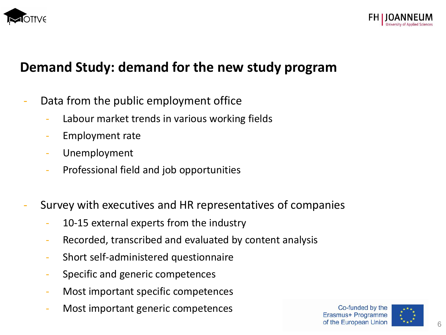



# **Demand Study: demand for the new study program**

- Data from the public employment office
	- Labour market trends in various working fields
	- Employment rate
	- Unemployment
	- Professional field and job opportunities
- Survey with executives and HR representatives of companies
	- 10-15 external experts from the industry
	- Recorded, transcribed and evaluated by content analysis
	- Short self-administered questionnaire
	- Specific and generic competences
	- Most important specific competences
	- Most important generic competences

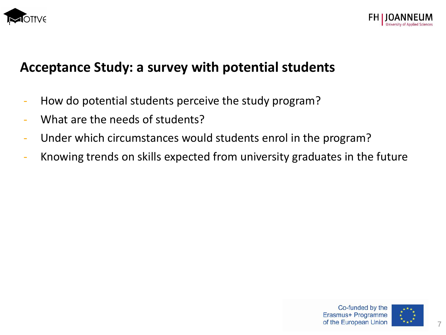



## **Acceptance Study: a survey with potential students**

- How do potential students perceive the study program?
- What are the needs of students?
- Under which circumstances would students enrol in the program?
- Knowing trends on skills expected from university graduates in the future

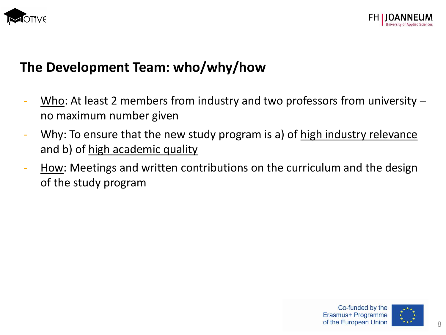



# **The Development Team: who/why/how**

- $\underline{\text{Who}}$ : At least 2 members from industry and two professors from university no maximum number given
- Why: To ensure that the new study program is a) of high industry relevance and b) of high academic quality
- How: Meetings and written contributions on the curriculum and the design of the study program

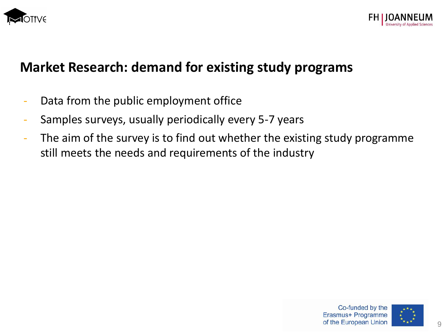



# **Market Research: demand for existing study programs**

- Data from the public employment office
- Samples surveys, usually periodically every 5-7 years
- The aim of the survey is to find out whether the existing study programme still meets the needs and requirements of the industry



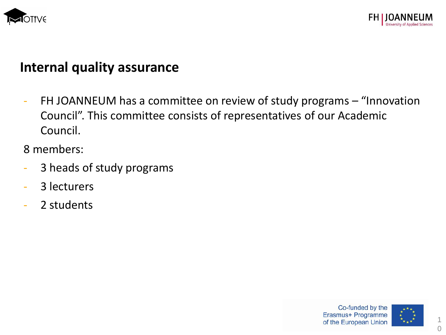



#### **Internal quality assurance**

- FH JOANNEUM has a committee on review of study programs – "Innovation Council". This committee consists of representatives of our Academic Council.

8 members:

- 3 heads of study programs
- 3 lecturers
- 2 students



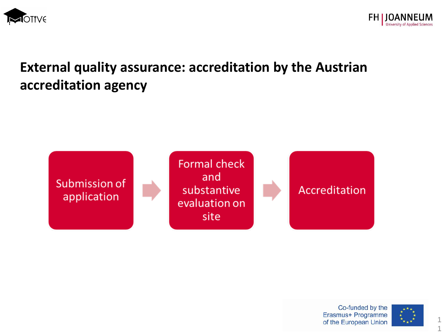



# **External quality assurance: accreditation by the Austrian accreditation agency**



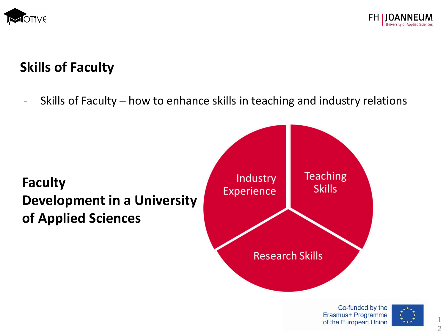



# **Skills of Faculty**

Skills of Faculty – how to enhance skills in teaching and industry relations



Co-funded by the Erasmus+ Programme of the European Union

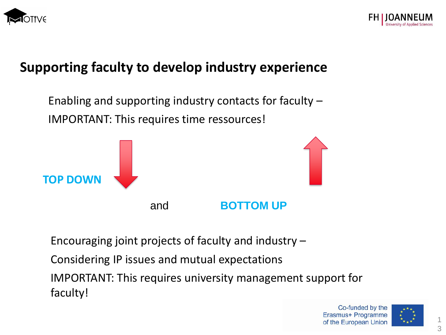

# **Supporting faculty to develop industry experience**



Encouraging joint projects of faculty and industry –

Considering IP issues and mutual expectations

IMPORTANT: This requires university management support for faculty!

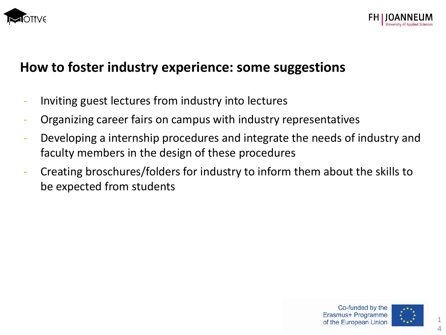



#### **How to foster industry experience: some suggestions**

- Inviting guest lectures from industry into lectures
- Organizing career fairs on campus with industry representatives
- Developing a internship procedures and integrate the needs of industry and faculty members in the design of these procedures
- Creating broschures/folders for industry to inform them about the skills to be expected from students

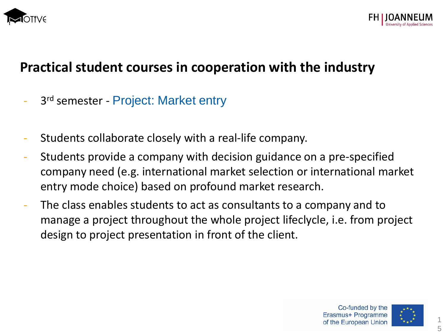



- 3<sup>rd</sup> semester Project: Market entry
- Students collaborate closely with a real-life company.
- Students provide a company with decision guidance on a pre-specified company need (e.g. international market selection or international market entry mode choice) based on profound market research.
- The class enables students to act as consultants to a company and to manage a project throughout the whole project lifeclycle, i.e. from project design to project presentation in front of the client.

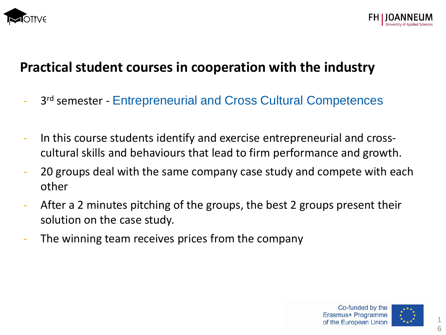



- 3<sup>rd</sup> semester Entrepreneurial and Cross Cultural Competences
- In this course students identify and exercise entrepreneurial and crosscultural skills and behaviours that lead to firm performance and growth.
- 20 groups deal with the same company case study and compete with each other
- After a 2 minutes pitching of the groups, the best 2 groups present their solution on the case study.
- The winning team receives prices from the company

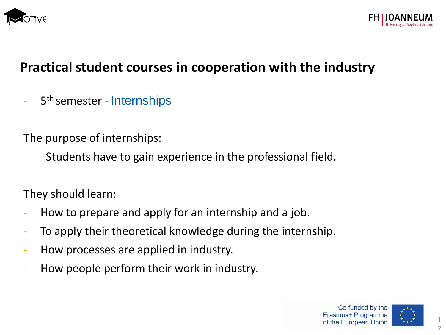



- 5<sup>th</sup> semester - Internships

The purpose of internships:

Students have to gain experience in the professional field.

They should learn:

- How to prepare and apply for an internship and a job.
- To apply their theoretical knowledge during the internship.
- How processes are applied in industry.
- How people perform their work in industry.

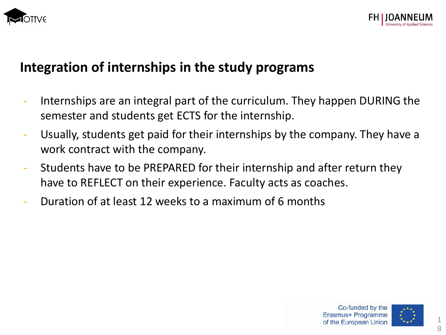



## **Integration of internships in the study programs**

- Internships are an integral part of the curriculum. They happen DURING the semester and students get ECTS for the internship.
- Usually, students get paid for their internships by the company. They have a work contract with the company.
- Students have to be PREPARED for their internship and after return they have to REFLECT on their experience. Faculty acts as coaches.
- Duration of at least 12 weeks to a maximum of 6 months



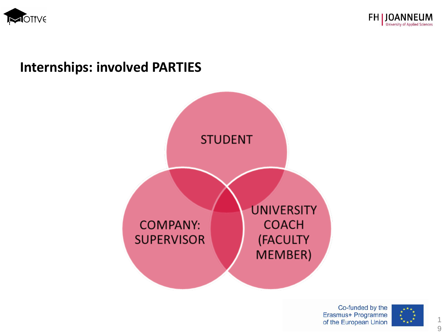



# **Internships: involved PARTIES**

![](_page_18_Figure_3.jpeg)

Co-funded by the Erasmus+ Programme of the European Union

![](_page_18_Picture_5.jpeg)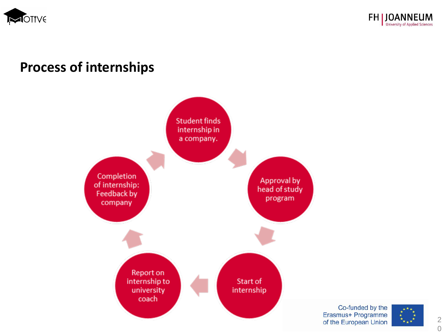![](_page_19_Picture_0.jpeg)

![](_page_19_Picture_1.jpeg)

#### **Process of internships**

![](_page_19_Figure_3.jpeg)

Co-funded by the Erasmus+ Programme of the European Union

![](_page_19_Picture_5.jpeg)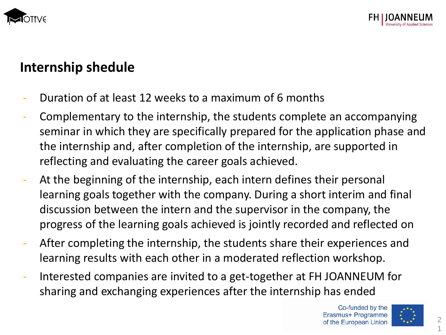![](_page_20_Picture_0.jpeg)

# **Internship shedule**

- Duration of at least 12 weeks to a maximum of 6 months
- Complementary to the internship, the students complete an accompanying seminar in which they are specifically prepared for the application phase and the internship and, after completion of the internship, are supported in reflecting and evaluating the career goals achieved.
- At the beginning of the internship, each intern defines their personal learning goals together with the company. During a short interim and final discussion between the intern and the supervisor in the company, the progress of the learning goals achieved is jointly recorded and reflected on
- After completing the internship, the students share their experiences and learning results with each other in a moderated reflection workshop.
- Interested companies are invited to a get-together at FH JOANNEUM for sharing and exchanging experiences after the internship has ended

![](_page_20_Picture_9.jpeg)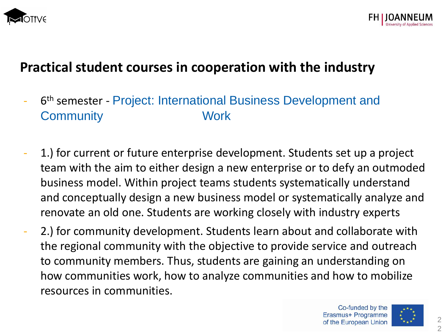![](_page_21_Picture_0.jpeg)

![](_page_21_Picture_1.jpeg)

- 6<sup>th</sup> semester Project: International Business Development and **Community** Work
- 1.) for current or future enterprise development. Students set up a project team with the aim to either design a new enterprise or to defy an outmoded business model. Within project teams students systematically understand and conceptually design a new business model or systematically analyze and renovate an old one. Students are working closely with industry experts
- 2.) for community development. Students learn about and collaborate with the regional community with the objective to provide service and outreach to community members. Thus, students are gaining an understanding on how communities work, how to analyze communities and how to mobilize resources in communities.

![](_page_21_Picture_7.jpeg)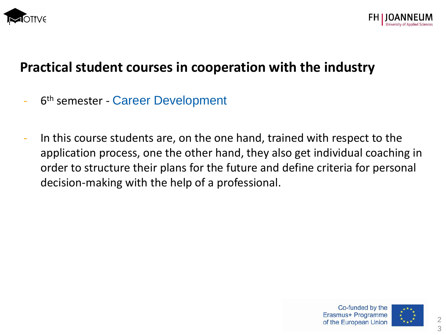![](_page_22_Picture_0.jpeg)

![](_page_22_Picture_1.jpeg)

- 6<sup>th</sup> semester Career Development
- In this course students are, on the one hand, trained with respect to the application process, one the other hand, they also get individual coaching in order to structure their plans for the future and define criteria for personal decision-making with the help of a professional.

![](_page_22_Picture_6.jpeg)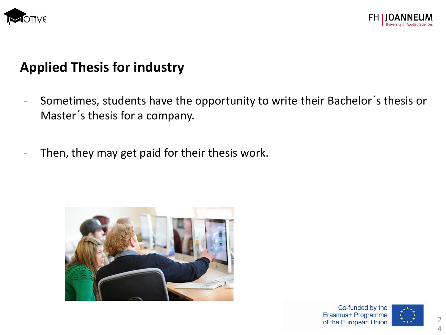![](_page_23_Picture_0.jpeg)

![](_page_23_Picture_1.jpeg)

# **Applied Thesis for industry**

- Sometimes, students have the opportunity to write their Bachelor's thesis or Master´s thesis for a company.
- Then, they may get paid for their thesis work.

![](_page_23_Picture_5.jpeg)

![](_page_23_Picture_7.jpeg)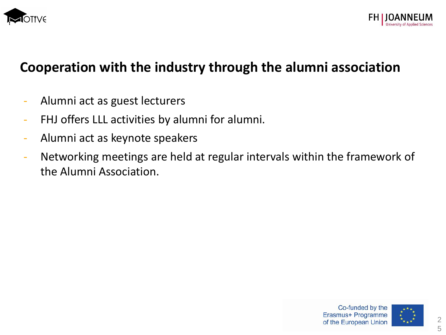![](_page_24_Picture_0.jpeg)

![](_page_24_Picture_1.jpeg)

# **Cooperation with the industry through the alumni association**

- Alumni act as guest lecturers
- FHJ offers LLL activities by alumni for alumni.
- Alumni act as keynote speakers
- Networking meetings are held at regular intervals within the framework of the Alumni Association.

![](_page_24_Picture_7.jpeg)

![](_page_24_Picture_8.jpeg)

2 5